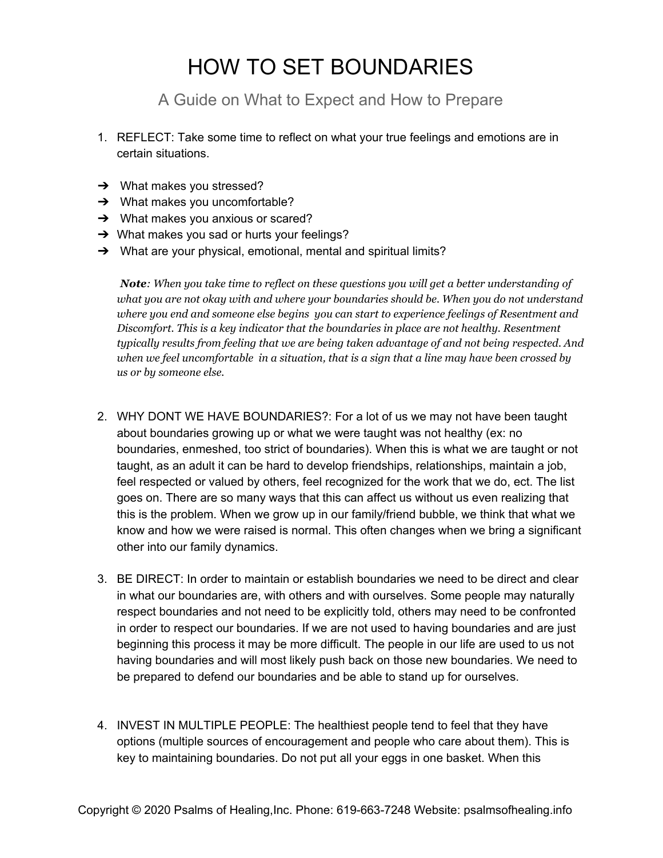## HOW TO SET BOUNDARIES

A Guide on What to Expect and How to Prepare

- 1. REFLECT: Take some time to reflect on what your true feelings and emotions are in certain situations.
- ➔ What makes you stressed?
- → What makes you uncomfortable?
- $\rightarrow$  What makes you anxious or scared?
- **→** What makes you sad or hurts your feelings?
- → What are your physical, emotional, mental and spiritual limits?

*Note: When you take time to reflect on these questions you will get a better understanding of what you are not okay with and where your boundaries should be. When you do not understand where you end and someone else begins you can start to experience feelings of Resentment and Discomfort. This is a key indicator that the boundaries in place are not healthy. Resentment typically results from feeling that we are being taken advantage of and not being respected. And* when we feel uncomfortable in a situation, that is a sign that a line may have been crossed by *us or by someone else.*

- 2. WHY DONT WE HAVE BOUNDARIES?: For a lot of us we may not have been taught about boundaries growing up or what we were taught was not healthy (ex: no boundaries, enmeshed, too strict of boundaries). When this is what we are taught or not taught, as an adult it can be hard to develop friendships, relationships, maintain a job, feel respected or valued by others, feel recognized for the work that we do, ect. The list goes on. There are so many ways that this can affect us without us even realizing that this is the problem. When we grow up in our family/friend bubble, we think that what we know and how we were raised is normal. This often changes when we bring a significant other into our family dynamics.
- 3. BE DIRECT: In order to maintain or establish boundaries we need to be direct and clear in what our boundaries are, with others and with ourselves. Some people may naturally respect boundaries and not need to be explicitly told, others may need to be confronted in order to respect our boundaries. If we are not used to having boundaries and are just beginning this process it may be more difficult. The people in our life are used to us not having boundaries and will most likely push back on those new boundaries. We need to be prepared to defend our boundaries and be able to stand up for ourselves.
- 4. INVEST IN MULTIPLE PEOPLE: The healthiest people tend to feel that they have options (multiple sources of encouragement and people who care about them). This is key to maintaining boundaries. Do not put all your eggs in one basket. When this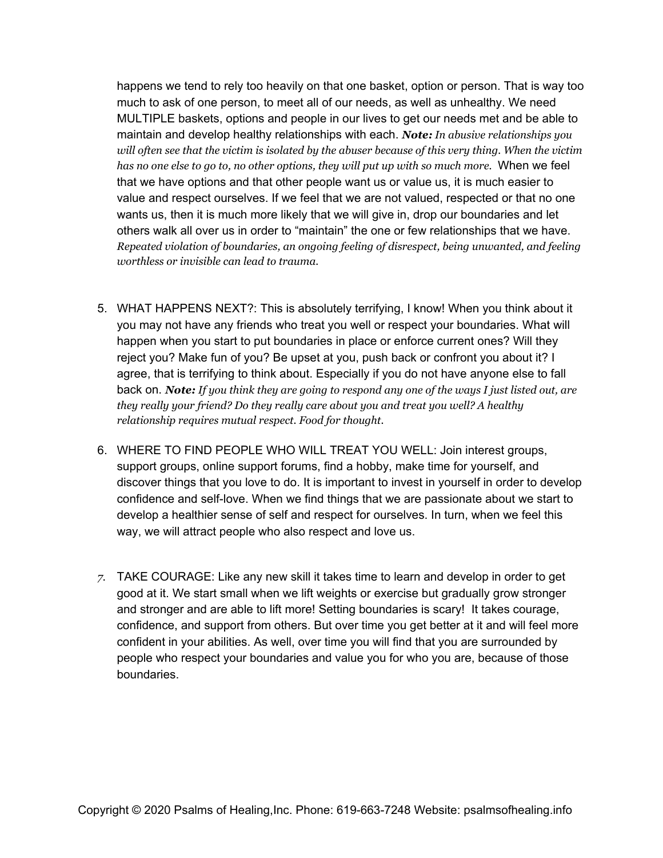happens we tend to rely too heavily on that one basket, option or person. That is way too much to ask of one person, to meet all of our needs, as well as unhealthy. We need MULTIPLE baskets, options and people in our lives to get our needs met and be able to maintain and develop healthy relationships with each. *Note: In abusive relationships you* will often see that the victim is isolated by the abuser because of this very thing. When the victim *has no one else to go to, no other options, they will put up with so much more.* When we feel that we have options and that other people want us or value us, it is much easier to value and respect ourselves. If we feel that we are not valued, respected or that no one wants us, then it is much more likely that we will give in, drop our boundaries and let others walk all over us in order to "maintain" the one or few relationships that we have. *Repeated violation of boundaries, an ongoing feeling of disrespect, being unwanted, and feeling worthless or invisible can lead to trauma.*

- 5. WHAT HAPPENS NEXT?: This is absolutely terrifying, I know! When you think about it you may not have any friends who treat you well or respect your boundaries. What will happen when you start to put boundaries in place or enforce current ones? Will they reject you? Make fun of you? Be upset at you, push back or confront you about it? I agree, that is terrifying to think about. Especially if you do not have anyone else to fall back on. Note: If you think they are going to respond any one of the ways I just listed out, are *they really your friend? Do they really care about you and treat you well? A healthy relationship requires mutual respect. Food for thought.*
- 6. WHERE TO FIND PEOPLE WHO WILL TREAT YOU WELL: Join interest groups, support groups, online support forums, find a hobby, make time for yourself, and discover things that you love to do. It is important to invest in yourself in order to develop confidence and self-love. When we find things that we are passionate about we start to develop a healthier sense of self and respect for ourselves. In turn, when we feel this way, we will attract people who also respect and love us.
- *7.* TAKE COURAGE: Like any new skill it takes time to learn and develop in order to get good at it. We start small when we lift weights or exercise but gradually grow stronger and stronger and are able to lift more! Setting boundaries is scary! It takes courage, confidence, and support from others. But over time you get better at it and will feel more confident in your abilities. As well, over time you will find that you are surrounded by people who respect your boundaries and value you for who you are, because of those boundaries.